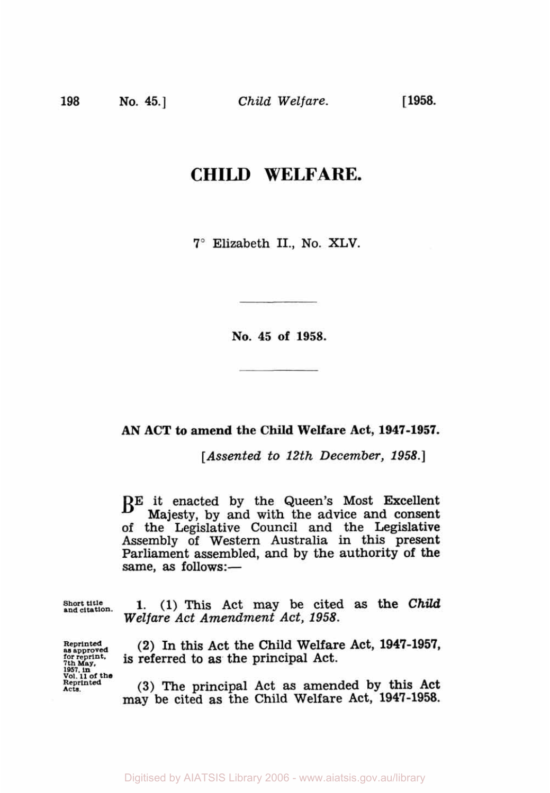**198 No. 45.]** *Child Welfare.* 

[ **1958.** 

## **CHILD WELFARE.**

**7"** Elizabeth II., No. XLV.

**No. 45 of 1958.** 

## *AN* **ACT to amend the Child Welfare Act, 1947-1957.**

*[Assented to 12th December, 1958.]* 

BE it enacted **by** the Queen's Most Excellent Majesty, **by** and with the advice **and** consent of the Legislative Council and the Legislative Assembly of Western Australia in this present Parliament assembled, and **by** the authority **of** the same, as follows:-

**Short title and citation. 1.** (1) This Act may be cited **as** the *Child Welfare Act Amendment Act, 1958.* 

**Reprinted as approved 7th forreprint. May, 1957. In Vol. 11 of the Reprinted Acts.** 

**(2)** In this Act the Child Welfare Act, **1947-1957,**  is referred to as the principal Act.

(3) The principal Act as amended **by** this Act may be cited as the **Child** Welfare Act, **1947-1958.**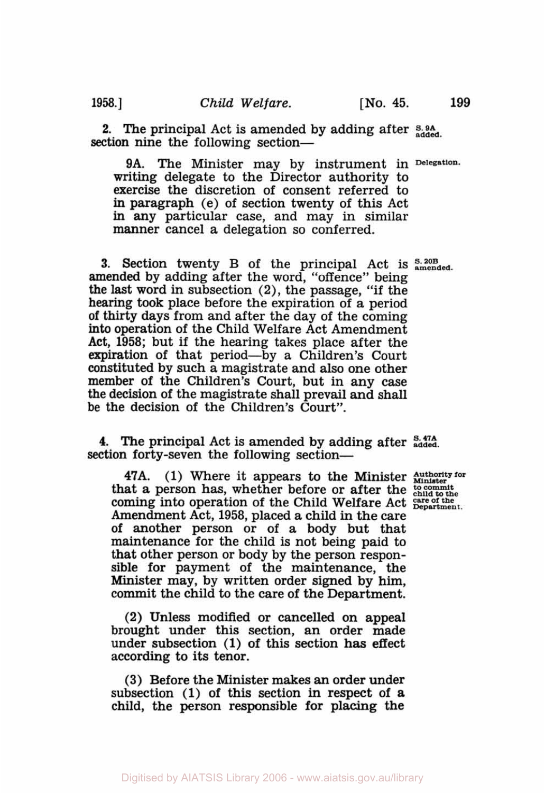section nine the following section-

**2.** The principal Act is amended by adding after **S. 9A** added.

9A. The Minister may by instrument in **Delegation.**  writing delegate to the Director authority to exercise the discretion of consent referred to in paragraph (e) of section twenty of this Act in any particular case, and may in similar manner cancel a delegation so conferred.

**3. Section twenty B of the principal Act is**  $_{\text{amended}}^{S. 20B}$ amended by adding after the word, "offence" being the last word in subsection (2), the passage, "if the hearing took place before the expiration of a period of thirty days from and after the day of the coming **into** operation of the Child Welfare Act Amendment Act, **1958;** but if the hearing takes place after the expiration of that period-by a Children's Court constituted by such a magistrate and also one other member of the Children's Court, but in any case the decision of the magistrate shall prevail and shall be the decision of the Children's Court".

**4. The** principal Act is amended by adding after **S. 47A added**  section forty-seven the following section—

**47A. (1)** Where it appears to the Minister that a person has, whether before or after the <sup>to commit child to the</sub></sup> coming into operation **of** the Child Welfare Act Amendment Act, **1958,** placed a child in the care of another person or of a body but that maintenance for the child is not being paid to that other person or body by the person responsible for payment **of** the maintenance, the Minister may, by written order signed by him, commit the child to the care of the Department.

**(2)** Unless modified or **cancelled** on appeal brought under this section, an order made under subsection (1) **of** this section has effect according to its tenor.

**(3)** Before the Minister makes an order under subsection (1) of this section in respect of a child, the person responsible for placing the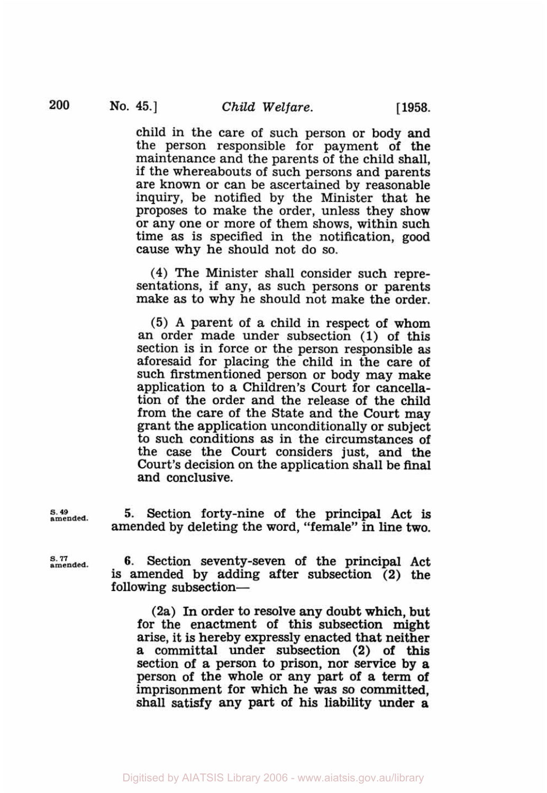child in the care of such person or body and the person responsible for payment of the maintenance and the parents of the child shall, if the whereabouts of such persons and parents are known or can be ascertained by reasonable inquiry, be notified by the Minister that he proposes to make the order, unless they show or any one or more of them shows, within such time as is specified in the notification, good cause why he should not do so.

**(4)** The Minister shall consider such representations, if any, as such persons or parents make as to why he should not make the order.

**(5) A** parent of a child in respect of whom an order made under subsection (1) of this section is in force or the person responsible as aforesaid for placing the child in the care **of**  such firstmentioned person or body may make application to a Children's Court for cancellation of the order and the release of the child from the care of the State and the Court may grant the application unconditionally or subject to such conditions **as** in the circumstances of the case the Court considers just, and the Court's decision on the application shall be final and conclusive.

*S.* **49 amended.** 

**5.** Section forty-nine of the principal Act is amended by deleting the word, "female" in line two.

*s. 77*  **amended.** 

**6.** Section seventy-seven of the principal Act is amended by adding after subsection (2) the following subsection-

(2a) In order to resolve any doubt which, but for the enactment of this subsection might arise, it is hereby expressly enacted that neither a committal under subsection **(2)** of this section of a person to prison, nor service by a person of the whole or any part of a term **of**  imprisonment for which he was *so* committed, shall satisfy any part **of** his liability under **a**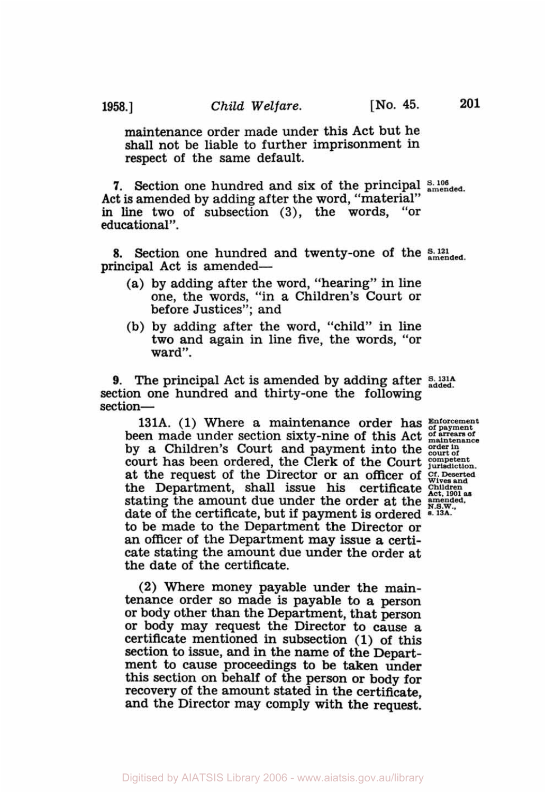maintenance order made under this Act but he shall not be liable to further imprisonment in respect **of** the same default.

**7.** Section one hundred and six of the principal  $_{\text{amended}}^{S. 106}$ Act is amended by adding after the word, "material" **in** line two of subsection **(3),** the words, "or educational".

**8.** Section one hundred and twenty-one of the  $_{\text{amended}}^{S. 121}$ principal Act is amended—

- (a) by adding after the word, "hearing" in line one, the words, "in a Children's Court or before Justices"; and
- (b) by adding after the word, "child" in line two and again in line five, the words, "or ward".

**9.** The principal Act is amended by adding after **S.** 131A section one hundred and thirty-one the following section-

131A. **(1)** Where a maintenance order has **Enforcement of payment**  been made under section sixty-nine **of** this Act *of arrears of maintenance*  by a Children's Court and payment into the **order** in court of court has been ordered, the Clerk of the Court *competent surisdiction*. at the request **of** the Director or an officer of **Cf. Deserted Wives and**  the Department, shall issue his certificate Children Act, 1901 as stating the amount due under the order at the *amended*, date of the certificate, but if payment is ordered **s. 13A.**  to be made to the Department the Director or an officer of the Department may issue **a** certicate stating the amount due under the order at the date of the certificate.

**(2)** Where money payable under the **main**tenance order so made is payable to a person or body other than the Department, that person or body may request the Director to cause a certificate mentioned in subsection (1) of this section to issue, and in the name of the Department to cause proceedings to be taken under this section on behalf of the person or body for recovery of the amount stated in the certificate, and the Director may comply with the request.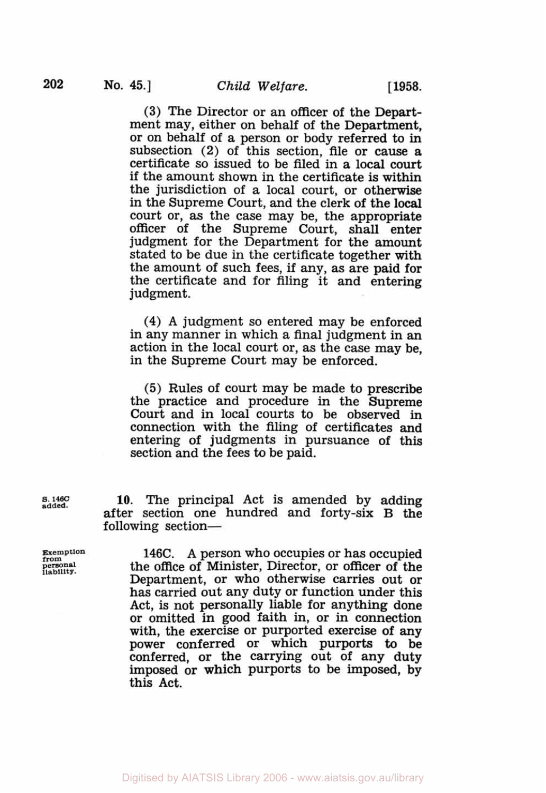**(3)** The Director or an officer of the Department may, either on behalf of the Department, or on behalf of a person or body referred to in subsection (2) of this section, file or cause **a**  certificate *so* issued to be filed in a local court if the amount shown in the certificate is within the jurisdiction of a local court, or otherwise in the Supreme Court, and the clerk of the local court or, as the case may be, the appropriate officer of the Supreme Court, shall enter judgment for the Department for the amount stated to be due in the certificate together with the amount of such fees, if any, as are paid for the certificate and for filing it and entering judgment.

**(4)** A judgment *so* entered may be enforced in any manner in which a final judgment in an action in the local court or, as the case may be, in the Supreme Court may be enforced.

(5) Rules of court may be made to prescribe the practice and procedure in the Supreme Court and in local courts to be observed in connection with the filing of certificates and entering of judgments in pursuance of this section and the fees to be paid.

**s. 146C added. 10.** The principal Act **is** amended by adding after section one hundred and forty-six B the following section-

**Exemption 146C.** A person who occupies or has occupied the office of Minister, Director, or officer of the **personal liability** the office of Minister, Director, or officer of the Department, or who otherwise carries out or has carried out any duty or function under this Act, is not personally liable for anything done or omitted in good faith in, or in connection with, the exercise or purported exercise of any power conferred or which purports to be conferred, or the carrying out of any duty imposed or which purports to be imposed, by this Act.